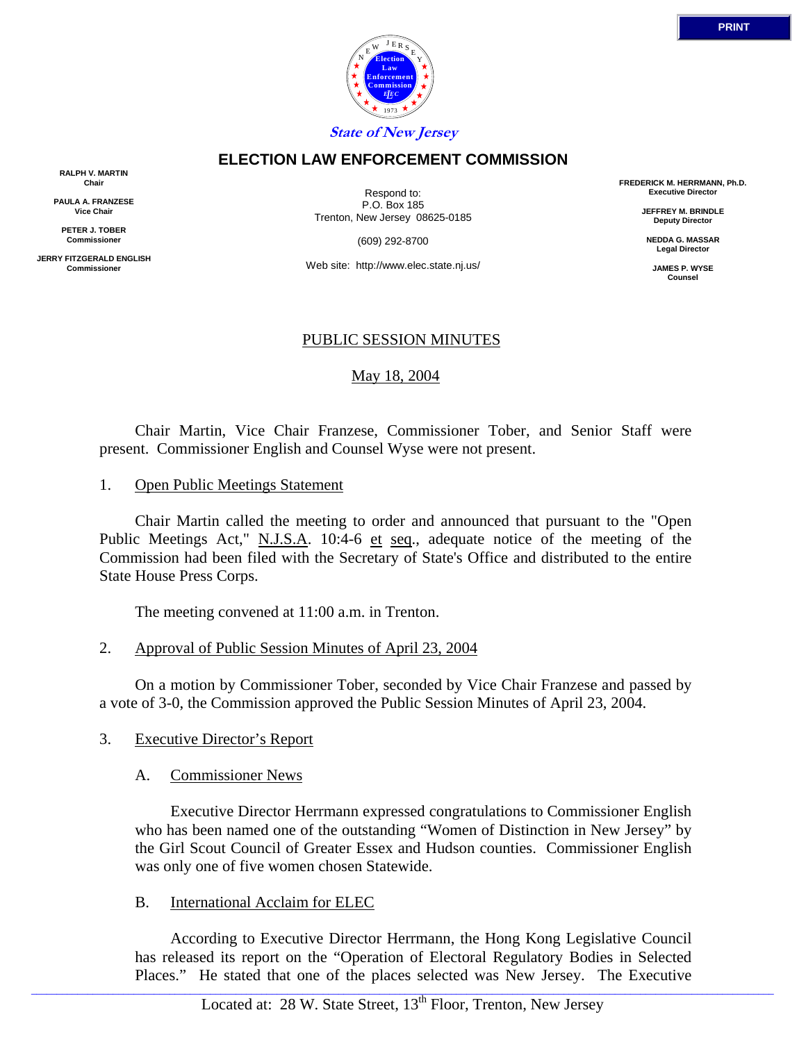

### **ELECTION LAW ENFORCEMENT COMMISSION**

**RALPH V. MARTIN Chair**

**PAULA A. FRANZESE Vice Chair**

**PETER J. TOBER Commissioner**

**JERRY FITZGERALD ENGLISH Commissioner**

Respond to: P.O. Box 185 Trenton, New Jersey 08625-0185

(609) 292-8700

Web site: http://www.elec.state.nj.us/

### PUBLIC SESSION MINUTES

# May 18, 2004

 Chair Martin, Vice Chair Franzese, Commissioner Tober, and Senior Staff were present. Commissioner English and Counsel Wyse were not present.

1. Open Public Meetings Statement

 Chair Martin called the meeting to order and announced that pursuant to the "Open Public Meetings Act," N.J.S.A. 10:4-6 et seq., adequate notice of the meeting of the Commission had been filed with the Secretary of State's Office and distributed to the entire State House Press Corps.

The meeting convened at 11:00 a.m. in Trenton.

2. Approval of Public Session Minutes of April 23, 2004

 On a motion by Commissioner Tober, seconded by Vice Chair Franzese and passed by a vote of 3-0, the Commission approved the Public Session Minutes of April 23, 2004.

## 3. Executive Director's Report

A. Commissioner News

 Executive Director Herrmann expressed congratulations to Commissioner English who has been named one of the outstanding "Women of Distinction in New Jersey" by the Girl Scout Council of Greater Essex and Hudson counties. Commissioner English was only one of five women chosen Statewide.

## B. International Acclaim for ELEC

 According to Executive Director Herrmann, the Hong Kong Legislative Council has released its report on the "Operation of Electoral Regulatory Bodies in Selected Places." He stated that one of the places selected was New Jersey. The Executive

**FREDERICK M. HERRMANN, Ph.D. Executive Director**

> **JEFFREY M. BRINDLE Deputy Director**

**NEDDA G. MASSAR Legal Director**

> **JAMES P. WYSE Counsel**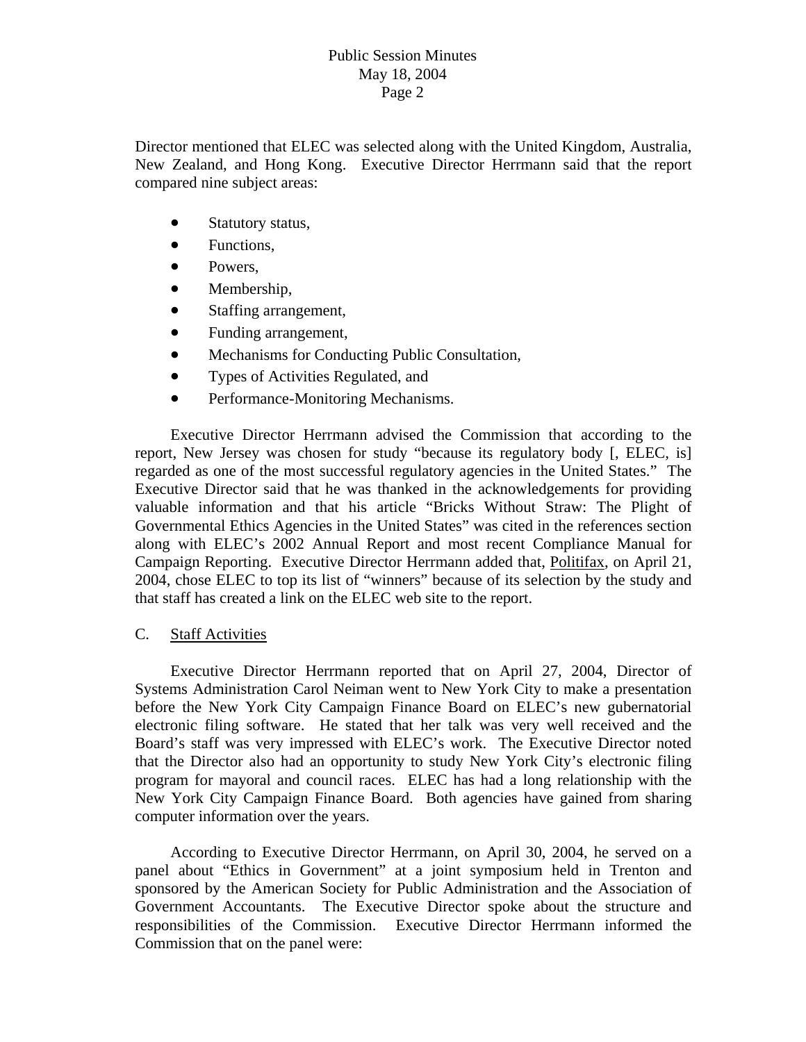Director mentioned that ELEC was selected along with the United Kingdom, Australia, New Zealand, and Hong Kong. Executive Director Herrmann said that the report compared nine subject areas:

- Statutory status,
- Functions,
- Powers.
- Membership,
- Staffing arrangement,
- Funding arrangement,
- Mechanisms for Conducting Public Consultation,
- Types of Activities Regulated, and
- Performance-Monitoring Mechanisms.

Campaign Reporting. Executive Director Herrmann added that, Politifax, on April 21, Executive Director Herrmann advised the Commission that according to the report, New Jersey was chosen for study "because its regulatory body [, ELEC, is] regarded as one of the most successful regulatory agencies in the United States." The Executive Director said that he was thanked in the acknowledgements for providing valuable information and that his article "Bricks Without Straw: The Plight of Governmental Ethics Agencies in the United States" was cited in the references section along with ELEC's 2002 Annual Report and most recent Compliance Manual for 2004, chose ELEC to top its list of "winners" because of its selection by the study and that staff has created a link on the ELEC web site to the report.

## C. Staff Activities

 Executive Director Herrmann reported that on April 27, 2004, Director of Systems Administration Carol Neiman went to New York City to make a presentation before the New York City Campaign Finance Board on ELEC's new gubernatorial electronic filing software. He stated that her talk was very well received and the Board's staff was very impressed with ELEC's work. The Executive Director noted that the Director also had an opportunity to study New York City's electronic filing program for mayoral and council races. ELEC has had a long relationship with the New York City Campaign Finance Board. Both agencies have gained from sharing computer information over the years.

Government Accountants. The Executive Director spoke about the structure and responsibilities of the Commission. Executive Director Herrmann informed the According to Executive Director Herrmann, on April 30, 2004, he served on a panel about "Ethics in Government" at a joint symposium held in Trenton and sponsored by the American Society for Public Administration and the Association of Commission that on the panel were: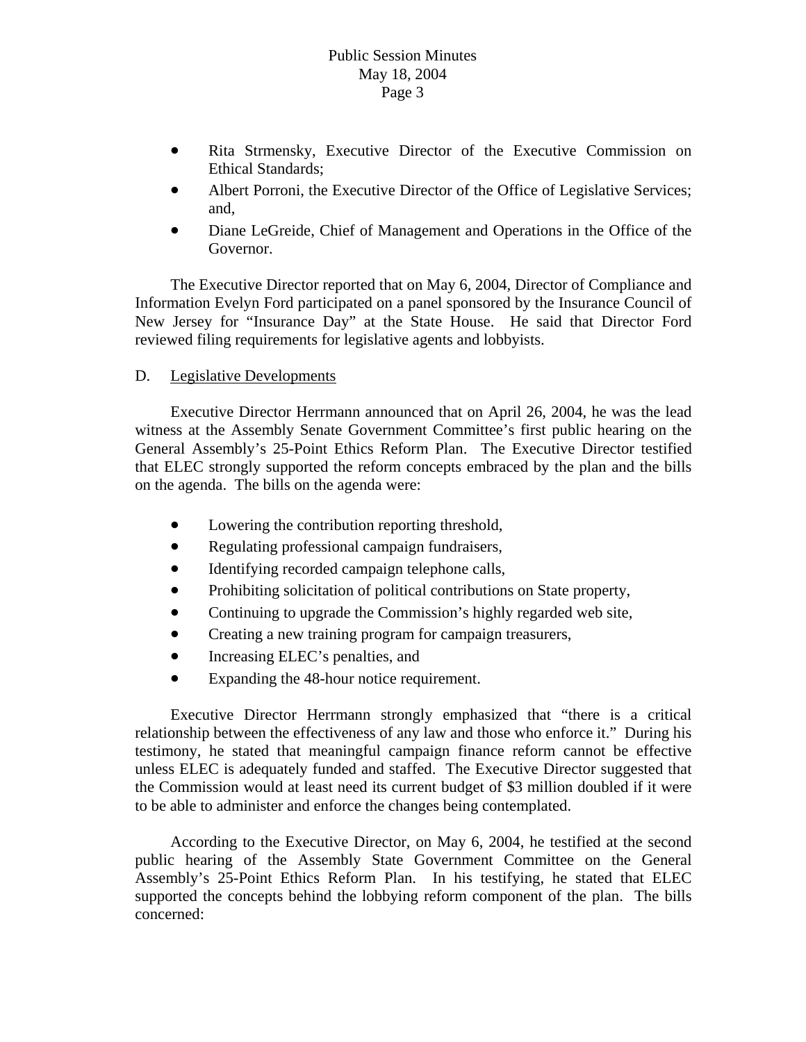- Ethical Standards; • Rita Strmensky, Executive Director of the Executive Commission on
- Albert Porroni, the Executive Director of the Office of Legislative Services; and,
- Diane LeGreide, Chief of Management and Operations in the Office of the Governor.

New Jersey for "Insurance Day" at the State House. He said that Director Ford reviewed filing requirements for legislative agents and lobbyists. The Executive Director reported that on May 6, 2004, Director of Compliance and Information Evelyn Ford participated on a panel sponsored by the Insurance Council of

# D. Legislative Developments

 Executive Director Herrmann announced that on April 26, 2004, he was the lead witness at the Assembly Senate Government Committee's first public hearing on the General Assembly's 25-Point Ethics Reform Plan. The Executive Director testified that ELEC strongly supported the reform concepts embraced by the plan and the bills on the agenda. The bills on the agenda were:

- Lowering the contribution reporting threshold,
- Regulating professional campaign fundraisers,
- Identifying recorded campaign telephone calls,
- Prohibiting solicitation of political contributions on State property,
- Continuing to upgrade the Commission's highly regarded web site,
- Creating a new training program for campaign treasurers,
- Increasing ELEC's penalties, and
- Expanding the 48-hour notice requirement.

relationship between the effectiveness of any law and those who enforce it." During his testimony, he stated that meaningful campaign finance reform cannot be effective Executive Director Herrmann strongly emphasized that "there is a critical unless ELEC is adequately funded and staffed. The Executive Director suggested that the Commission would at least need its current budget of \$3 million doubled if it were to be able to administer and enforce the changes being contemplated.

According to the Executive Director, on May 6, 2004, he testified at the second public hearing of the Assembly State Government Committee on the General Assembly's 25-Point Ethics Reform Plan. In his testifying, he stated that ELEC supported the concepts behind the lobbying reform component of the plan. The bills concerned: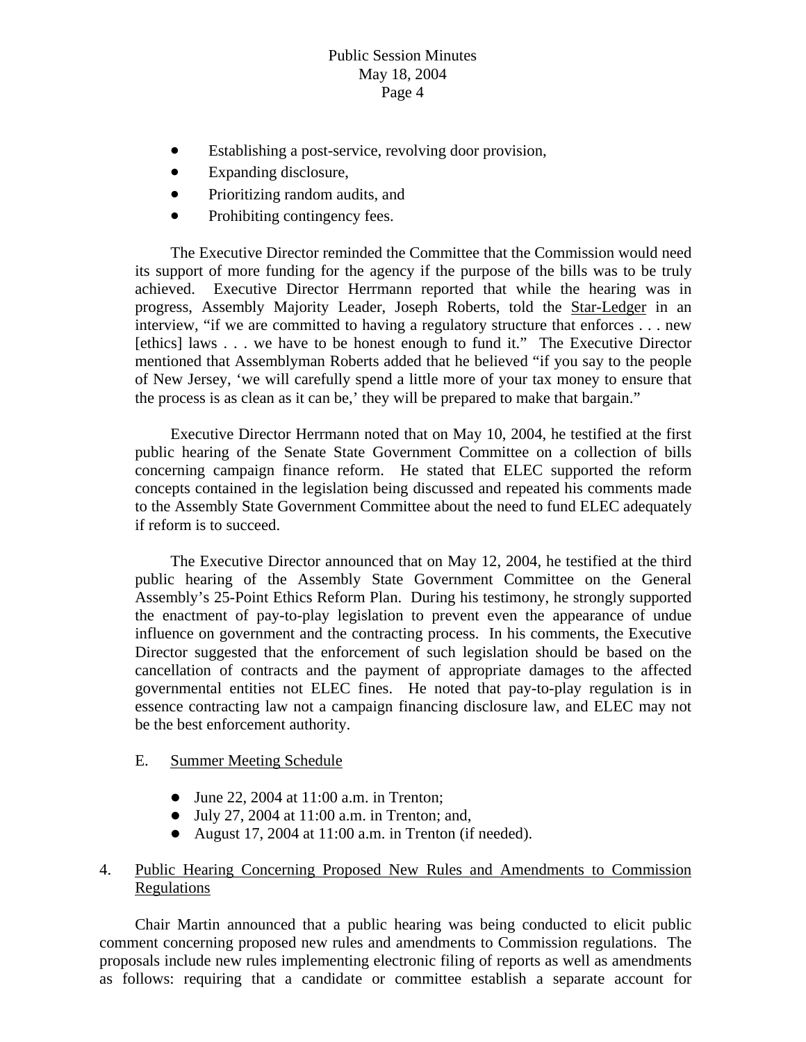# Public Session Minutes May 18, 2004 Page 4

- Establishing a post-service, revolving door provision,
- Expanding disclosure,
- Prioritizing random audits, and
- Prohibiting contingency fees. •

 The Executive Director reminded the Committee that the Commission would need its support of more funding for the agency if the purpose of the bills was to be truly achieved. Executive Director Herrmann reported that while the hearing was in progress, Assembly Majority Leader, Joseph Roberts, told the Star-Ledger in an interview, "if we are committed to having a regulatory structure that enforces . . . new [ethics] laws . . . we have to be honest enough to fund it." The Executive Director mentioned that Assemblyman Roberts added that he believed "if you say to the people of New Jersey, 'we will carefully spend a little more of your tax money to ensure that the process is as clean as it can be,' they will be prepared to make that bargain."

to the Assembly State Government Committee about the need to fund ELEC adequately if reform is to succeed. Executive Director Herrmann noted that on May 10, 2004, he testified at the first public hearing of the Senate State Government Committee on a collection of bills concerning campaign finance reform. He stated that ELEC supported the reform concepts contained in the legislation being discussed and repeated his comments made

essence contracting law not a campaign financing disclosure law, and ELEC may not be the best enforcement authority. The Executive Director announced that on May 12, 2004, he testified at the third public hearing of the Assembly State Government Committee on the General Assembly's 25-Point Ethics Reform Plan. During his testimony, he strongly supported the enactment of pay-to-play legislation to prevent even the appearance of undue influence on government and the contracting process. In his comments, the Executive Director suggested that the enforcement of such legislation should be based on the cancellation of contracts and the payment of appropriate damages to the affected governmental entities not ELEC fines. He noted that pay-to-play regulation is in

#### . Summer Meeting Schedule E

- $\bullet$  June 22, 2004 at 11:00 a.m. in Trenton;
- $\bullet$  July 27, 2004 at 11:00 a.m. in Trenton; and,
- August 17, 2004 at 11:00 a.m. in Trenton (if needed).

### 4. Public Hearing Concerning Proposed New Rules and Amendments to Commission Regulations

 Chair Martin announced that a public hearing was being conducted to elicit public comment concerning proposed new rules and amendments to Commission regulations. The proposals include new rules implementing electronic filing of reports as well as amendments as follows: requiring that a candidate or committee establish a separate account for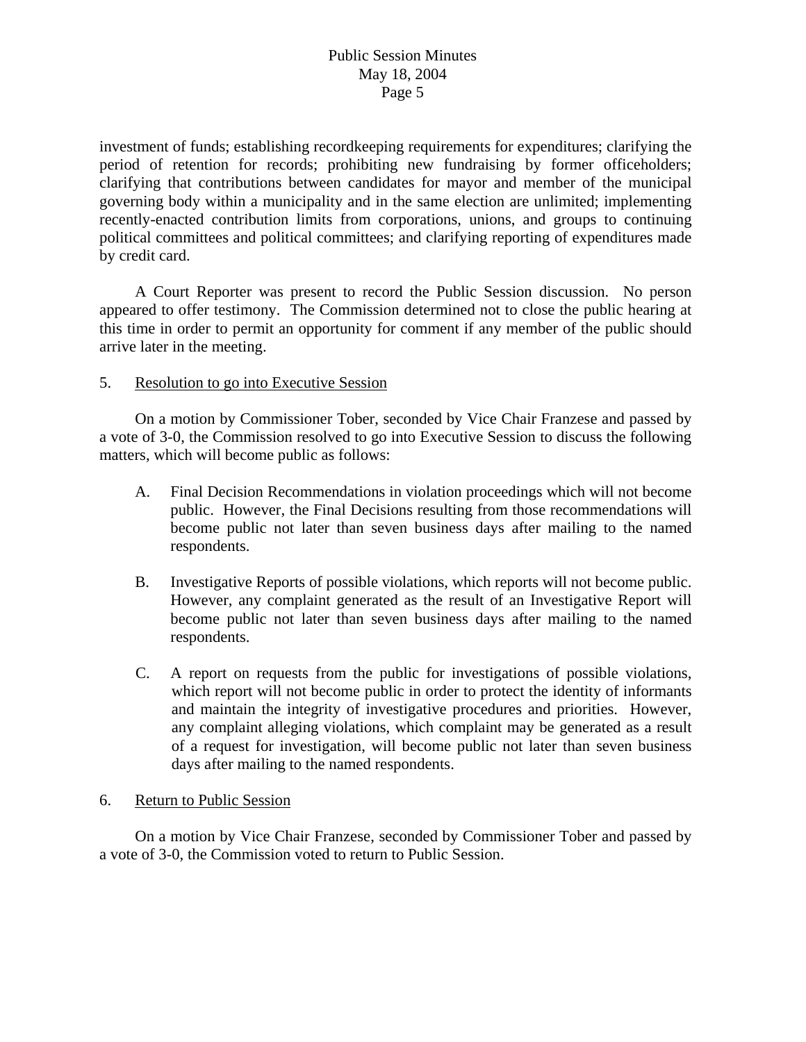political committees and political committees; and clarifying reporting of expenditures made by credit card. investment of funds; establishing recordkeeping requirements for expenditures; clarifying the period of retention for records; prohibiting new fundraising by former officeholders; clarifying that contributions between candidates for mayor and member of the municipal governing body within a municipality and in the same election are unlimited; implementing recently-enacted contribution limits from corporations, unions, and groups to continuing

this time in order to permit an opportunity for comment if any member of the public should arrive later in the meeting. A Court Reporter was present to record the Public Session discussion. No person appeared to offer testimony. The Commission determined not to close the public hearing at

#### . Resolution to go into Executive Session 5

a vote of 3-0, the Commission resolved to go into Executive Session to discuss the following matters, which will become public as follows: On a motion by Commissioner Tober, seconded by Vice Chair Franzese and passed by

- become public not later than seven business days after mailing to the named respondents. A. Final Decision Recommendations in violation proceedings which will not become public. However, the Final Decisions resulting from those recommendations will
- become public not later than seven business days after mailing to the named respondents. B. Investigative Reports of possible violations, which reports will not become public. However, any complaint generated as the result of an Investigative Report will
- of a request for investigation, will become public not later than seven business days after mailing to the named respondents. C. A report on requests from the public for investigations of possible violations, which report will not become public in order to protect the identity of informants and maintain the integrity of investigative procedures and priorities. However, any complaint alleging violations, which complaint may be generated as a result

#### . Return to Public Session 6

On a motion by Vice Chair Franzese, seconded by Commissioner Tober and passed by a vote of 3-0, the Commission voted to return to Public Session.